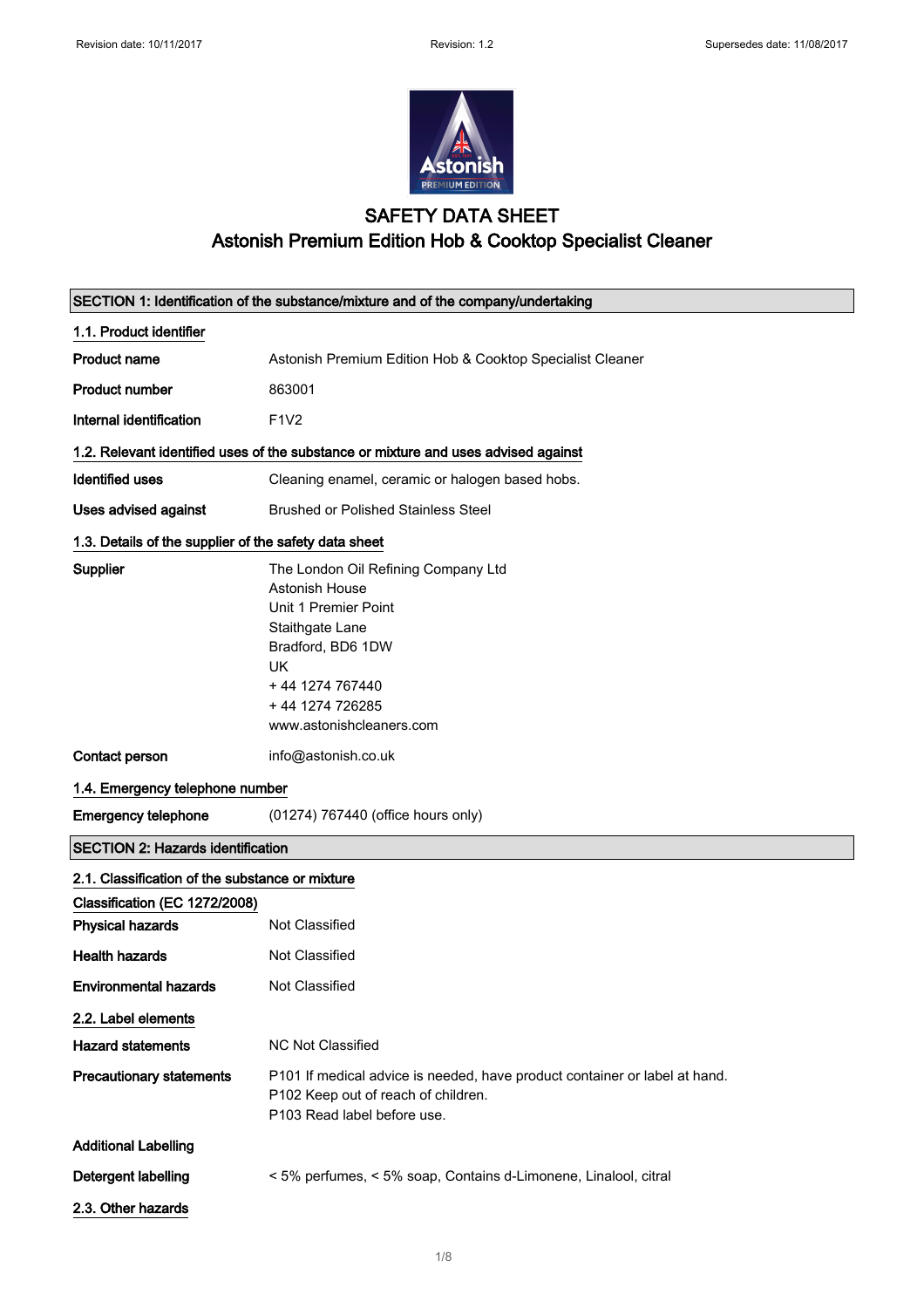

#### SAFETY DATA SHEET Astonish Premium Edition Hob & Cooktop Specialist Cleaner

|                                                       | SECTION 1: Identification of the substance/mixture and of the company/undertaking                                                                                                                    |
|-------------------------------------------------------|------------------------------------------------------------------------------------------------------------------------------------------------------------------------------------------------------|
| 1.1. Product identifier                               |                                                                                                                                                                                                      |
| <b>Product name</b>                                   | Astonish Premium Edition Hob & Cooktop Specialist Cleaner                                                                                                                                            |
| <b>Product number</b>                                 | 863001                                                                                                                                                                                               |
| Internal identification                               | <b>F1V2</b>                                                                                                                                                                                          |
|                                                       | 1.2. Relevant identified uses of the substance or mixture and uses advised against                                                                                                                   |
| <b>Identified uses</b>                                | Cleaning enamel, ceramic or halogen based hobs.                                                                                                                                                      |
| Uses advised against                                  | <b>Brushed or Polished Stainless Steel</b>                                                                                                                                                           |
| 1.3. Details of the supplier of the safety data sheet |                                                                                                                                                                                                      |
| Supplier                                              | The London Oil Refining Company Ltd<br>Astonish House<br>Unit 1 Premier Point<br>Staithgate Lane<br>Bradford, BD6 1DW<br><b>UK</b><br>+44 1274 767440<br>+44 1274 726285<br>www.astonishcleaners.com |
| Contact person                                        | info@astonish.co.uk                                                                                                                                                                                  |
| 1.4. Emergency telephone number                       |                                                                                                                                                                                                      |
| <b>Emergency telephone</b>                            | (01274) 767440 (office hours only)                                                                                                                                                                   |
| <b>SECTION 2: Hazards identification</b>              |                                                                                                                                                                                                      |
| 2.1. Classification of the substance or mixture       |                                                                                                                                                                                                      |
| Classification (EC 1272/2008)                         |                                                                                                                                                                                                      |
| <b>Physical hazards</b>                               | Not Classified                                                                                                                                                                                       |
| <b>Health hazards</b>                                 | <b>Not Classified</b>                                                                                                                                                                                |
| <b>Environmental hazards</b>                          | Not Classified                                                                                                                                                                                       |
| 2.2. Label elements                                   |                                                                                                                                                                                                      |
| <b>Hazard statements</b>                              | <b>NC Not Classified</b>                                                                                                                                                                             |
| <b>Precautionary statements</b>                       | P101 If medical advice is needed, have product container or label at hand.<br>P102 Keep out of reach of children.<br>P103 Read label before use.                                                     |
| <b>Additional Labelling</b>                           |                                                                                                                                                                                                      |
| Detergent labelling                                   | < 5% perfumes, < 5% soap, Contains d-Limonene, Linalool, citral                                                                                                                                      |
| 2.3. Other hazards                                    |                                                                                                                                                                                                      |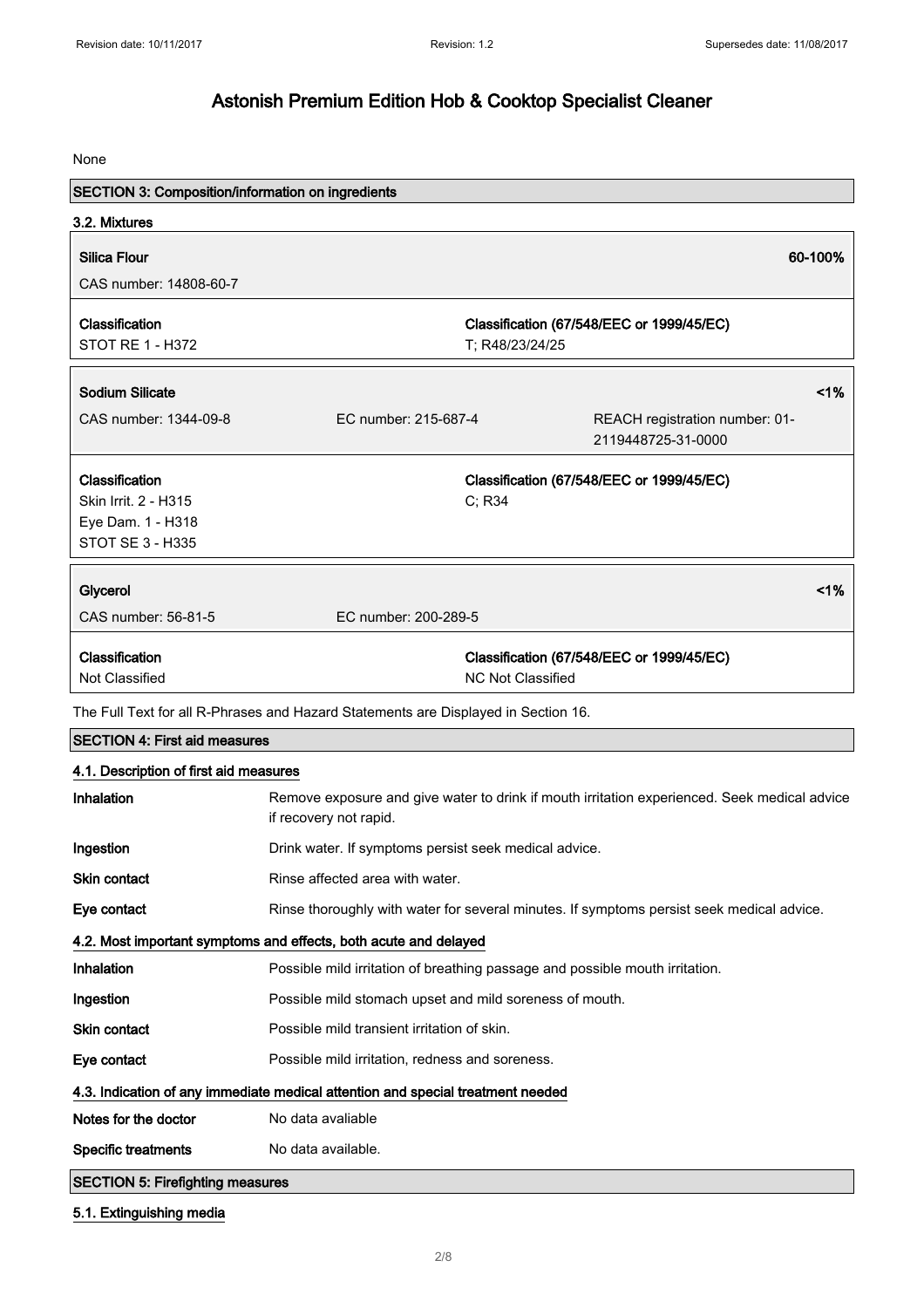None

| <b>SECTION 3: Composition/information on ingredients</b> |                                                                                    |                          |                                                                                              |    |
|----------------------------------------------------------|------------------------------------------------------------------------------------|--------------------------|----------------------------------------------------------------------------------------------|----|
| 3.2. Mixtures                                            |                                                                                    |                          |                                                                                              |    |
| <b>Silica Flour</b>                                      |                                                                                    |                          | 60-100%                                                                                      |    |
| CAS number: 14808-60-7                                   |                                                                                    |                          |                                                                                              |    |
| Classification                                           |                                                                                    |                          |                                                                                              |    |
| <b>STOT RE 1 - H372</b>                                  |                                                                                    | T; R48/23/24/25          | Classification (67/548/EEC or 1999/45/EC)                                                    |    |
|                                                          |                                                                                    |                          |                                                                                              |    |
| <b>Sodium Silicate</b>                                   |                                                                                    |                          |                                                                                              | 1% |
| CAS number: 1344-09-8                                    | EC number: 215-687-4                                                               |                          | REACH registration number: 01-                                                               |    |
|                                                          |                                                                                    |                          | 2119448725-31-0000                                                                           |    |
| Classification                                           |                                                                                    |                          | Classification (67/548/EEC or 1999/45/EC)                                                    |    |
| Skin Irrit. 2 - H315                                     |                                                                                    | C; R34                   |                                                                                              |    |
| Eye Dam. 1 - H318<br><b>STOT SE 3 - H335</b>             |                                                                                    |                          |                                                                                              |    |
|                                                          |                                                                                    |                          |                                                                                              |    |
| Glycerol                                                 |                                                                                    |                          |                                                                                              | 1% |
| CAS number: 56-81-5                                      | EC number: 200-289-5                                                               |                          |                                                                                              |    |
| Classification                                           |                                                                                    |                          | Classification (67/548/EEC or 1999/45/EC)                                                    |    |
| Not Classified                                           |                                                                                    | <b>NC Not Classified</b> |                                                                                              |    |
|                                                          | The Full Text for all R-Phrases and Hazard Statements are Displayed in Section 16. |                          |                                                                                              |    |
| <b>SECTION 4: First aid measures</b>                     |                                                                                    |                          |                                                                                              |    |
| 4.1. Description of first aid measures                   |                                                                                    |                          |                                                                                              |    |
| Inhalation                                               | if recovery not rapid.                                                             |                          | Remove exposure and give water to drink if mouth irritation experienced. Seek medical advice |    |
| Ingestion                                                | Drink water. If symptoms persist seek medical advice.                              |                          |                                                                                              |    |
| Skin contact                                             | Rinse affected area with water.                                                    |                          |                                                                                              |    |
| Eye contact                                              |                                                                                    |                          | Rinse thoroughly with water for several minutes. If symptoms persist seek medical advice.    |    |
|                                                          | 4.2. Most important symptoms and effects, both acute and delayed                   |                          |                                                                                              |    |
| Inhalation                                               | Possible mild irritation of breathing passage and possible mouth irritation.       |                          |                                                                                              |    |
| Ingestion                                                | Possible mild stomach upset and mild soreness of mouth.                            |                          |                                                                                              |    |
| Skin contact                                             | Possible mild transient irritation of skin.                                        |                          |                                                                                              |    |
| Eye contact                                              | Possible mild irritation, redness and soreness.                                    |                          |                                                                                              |    |
|                                                          | 4.3. Indication of any immediate medical attention and special treatment needed    |                          |                                                                                              |    |
| Notes for the doctor                                     | No data avaliable                                                                  |                          |                                                                                              |    |
| <b>Specific treatments</b>                               | No data available.                                                                 |                          |                                                                                              |    |
| <b>SECTION 5: Firefighting measures</b>                  |                                                                                    |                          |                                                                                              |    |

5.1. Extinguishing media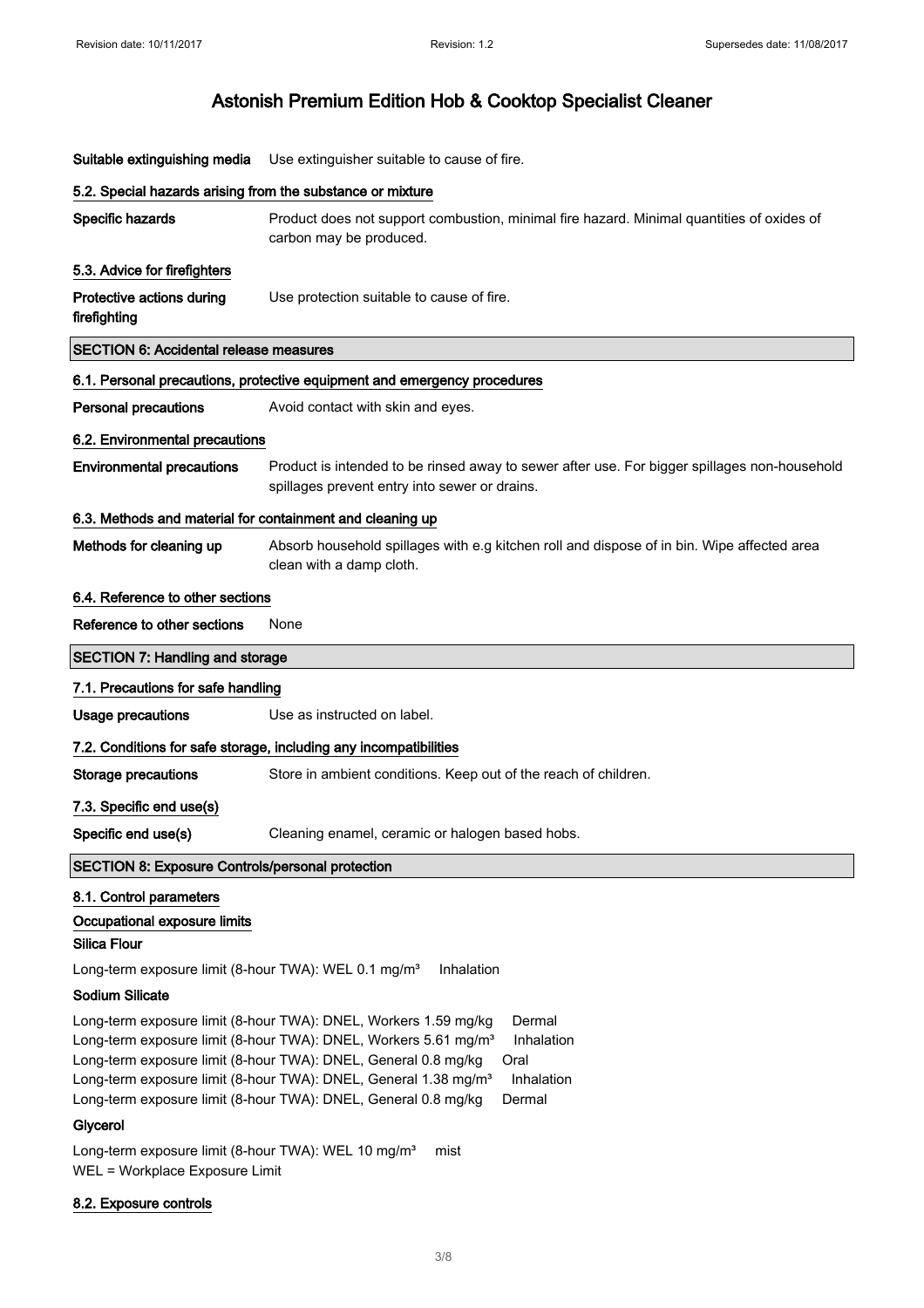| Suitable extinguishing media                                                                                                                                                                                                                                                                                                                                                                                              | Use extinguisher suitable to cause of fire.                                                                                                   |
|---------------------------------------------------------------------------------------------------------------------------------------------------------------------------------------------------------------------------------------------------------------------------------------------------------------------------------------------------------------------------------------------------------------------------|-----------------------------------------------------------------------------------------------------------------------------------------------|
| 5.2. Special hazards arising from the substance or mixture                                                                                                                                                                                                                                                                                                                                                                |                                                                                                                                               |
| Specific hazards                                                                                                                                                                                                                                                                                                                                                                                                          | Product does not support combustion, minimal fire hazard. Minimal quantities of oxides of<br>carbon may be produced.                          |
| 5.3. Advice for firefighters                                                                                                                                                                                                                                                                                                                                                                                              |                                                                                                                                               |
| Protective actions during<br>firefighting                                                                                                                                                                                                                                                                                                                                                                                 | Use protection suitable to cause of fire.                                                                                                     |
| <b>SECTION 6: Accidental release measures</b>                                                                                                                                                                                                                                                                                                                                                                             |                                                                                                                                               |
|                                                                                                                                                                                                                                                                                                                                                                                                                           | 6.1. Personal precautions, protective equipment and emergency procedures                                                                      |
| <b>Personal precautions</b>                                                                                                                                                                                                                                                                                                                                                                                               | Avoid contact with skin and eyes.                                                                                                             |
| 6.2. Environmental precautions                                                                                                                                                                                                                                                                                                                                                                                            |                                                                                                                                               |
| <b>Environmental precautions</b>                                                                                                                                                                                                                                                                                                                                                                                          | Product is intended to be rinsed away to sewer after use. For bigger spillages non-household<br>spillages prevent entry into sewer or drains. |
| 6.3. Methods and material for containment and cleaning up                                                                                                                                                                                                                                                                                                                                                                 |                                                                                                                                               |
| Methods for cleaning up                                                                                                                                                                                                                                                                                                                                                                                                   | Absorb household spillages with e.g kitchen roll and dispose of in bin. Wipe affected area<br>clean with a damp cloth.                        |
| 6.4. Reference to other sections                                                                                                                                                                                                                                                                                                                                                                                          |                                                                                                                                               |
| Reference to other sections                                                                                                                                                                                                                                                                                                                                                                                               | None                                                                                                                                          |
| <b>SECTION 7: Handling and storage</b>                                                                                                                                                                                                                                                                                                                                                                                    |                                                                                                                                               |
| 7.1. Precautions for safe handling                                                                                                                                                                                                                                                                                                                                                                                        |                                                                                                                                               |
| <b>Usage precautions</b>                                                                                                                                                                                                                                                                                                                                                                                                  | Use as instructed on label.                                                                                                                   |
|                                                                                                                                                                                                                                                                                                                                                                                                                           | 7.2. Conditions for safe storage, including any incompatibilities                                                                             |
| <b>Storage precautions</b>                                                                                                                                                                                                                                                                                                                                                                                                | Store in ambient conditions. Keep out of the reach of children.                                                                               |
| 7.3. Specific end use(s)                                                                                                                                                                                                                                                                                                                                                                                                  |                                                                                                                                               |
| Specific end use(s)                                                                                                                                                                                                                                                                                                                                                                                                       | Cleaning enamel, ceramic or halogen based hobs.                                                                                               |
| <b>SECTION 8: Exposure Controls/personal protection</b>                                                                                                                                                                                                                                                                                                                                                                   |                                                                                                                                               |
| 8.1. Control parameters                                                                                                                                                                                                                                                                                                                                                                                                   |                                                                                                                                               |
| Occupational exposure limits                                                                                                                                                                                                                                                                                                                                                                                              |                                                                                                                                               |
| <b>Silica Flour</b>                                                                                                                                                                                                                                                                                                                                                                                                       |                                                                                                                                               |
| Long-term exposure limit (8-hour TWA): WEL 0.1 mg/m <sup>3</sup>                                                                                                                                                                                                                                                                                                                                                          | Inhalation                                                                                                                                    |
| <b>Sodium Silicate</b>                                                                                                                                                                                                                                                                                                                                                                                                    |                                                                                                                                               |
| Long-term exposure limit (8-hour TWA): DNEL, Workers 1.59 mg/kg<br>Dermal<br>Long-term exposure limit (8-hour TWA): DNEL, Workers 5.61 mg/m <sup>3</sup><br>Inhalation<br>Long-term exposure limit (8-hour TWA): DNEL, General 0.8 mg/kg<br>Oral<br>Long-term exposure limit (8-hour TWA): DNEL, General 1.38 mg/m <sup>3</sup><br>Inhalation<br>Long-term exposure limit (8-hour TWA): DNEL, General 0.8 mg/kg<br>Dermal |                                                                                                                                               |
| Glycerol                                                                                                                                                                                                                                                                                                                                                                                                                  |                                                                                                                                               |
| Long-term exposure limit (8-hour TWA): WEL 10 mg/m <sup>3</sup><br>WEL = Workplace Exposure Limit                                                                                                                                                                                                                                                                                                                         | mist                                                                                                                                          |

#### 8.2. Exposure controls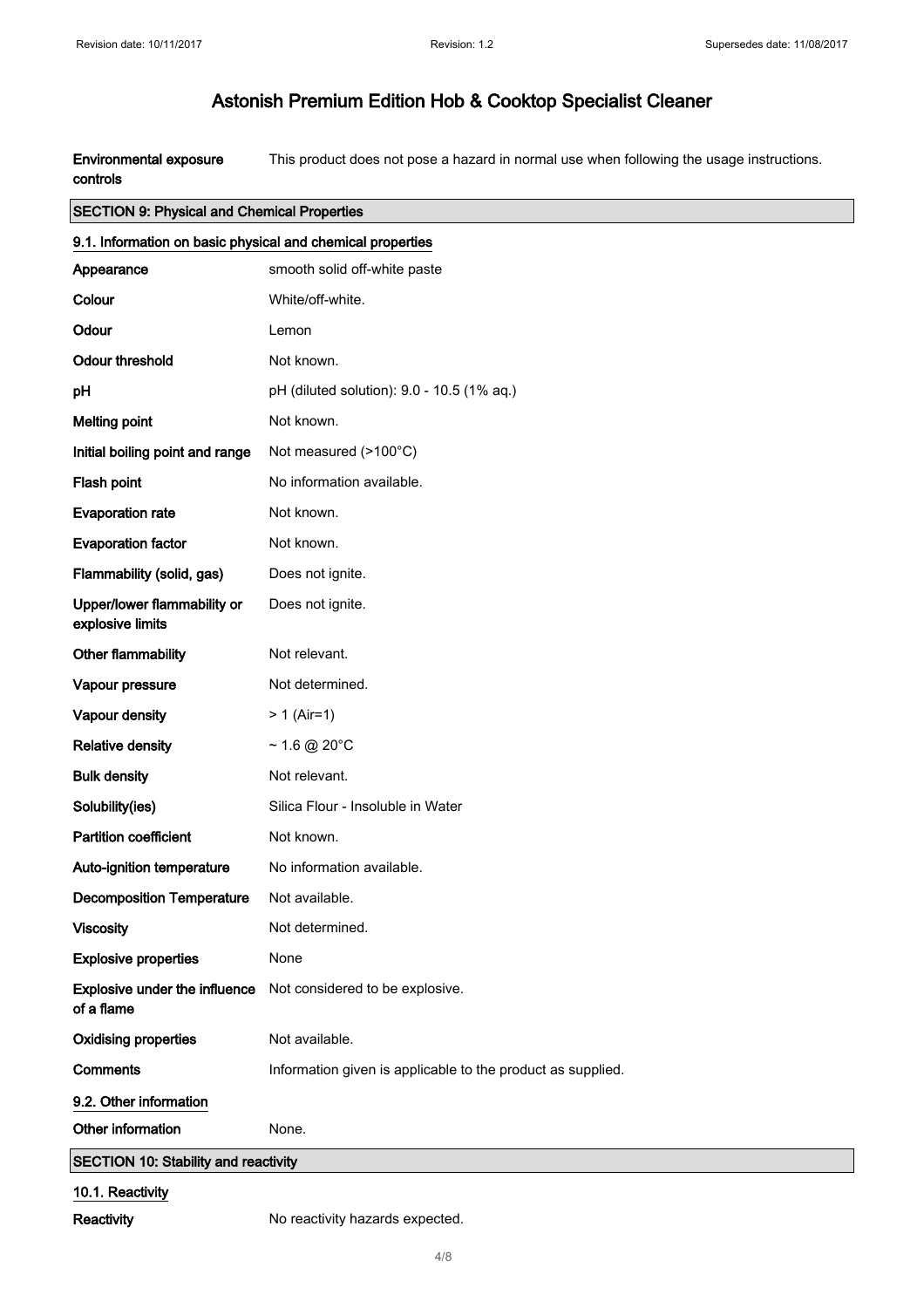Environmental exposure controls This product does not pose a hazard in normal use when following the usage instructions.

#### SECTION 9: Physical and Chemical Properties

| 9.1. Information on basic physical and chemical properties |                                                             |
|------------------------------------------------------------|-------------------------------------------------------------|
| Appearance                                                 | smooth solid off-white paste                                |
| Colour                                                     | White/off-white.                                            |
| Odour                                                      | Lemon                                                       |
| <b>Odour threshold</b>                                     | Not known.                                                  |
| pH                                                         | pH (diluted solution): 9.0 - 10.5 (1% aq.)                  |
| <b>Melting point</b>                                       | Not known.                                                  |
| Initial boiling point and range                            | Not measured (>100°C)                                       |
| Flash point                                                | No information available.                                   |
| <b>Evaporation rate</b>                                    | Not known.                                                  |
| <b>Evaporation factor</b>                                  | Not known.                                                  |
| Flammability (solid, gas)                                  | Does not ignite.                                            |
| Upper/lower flammability or<br>explosive limits            | Does not ignite.                                            |
| Other flammability                                         | Not relevant.                                               |
| Vapour pressure                                            | Not determined.                                             |
| Vapour density                                             | $> 1$ (Air=1)                                               |
| <b>Relative density</b>                                    | $~1.6 \text{ @ } 20^{\circ}$ C                              |
| <b>Bulk density</b>                                        | Not relevant.                                               |
| Solubility(ies)                                            | Silica Flour - Insoluble in Water                           |
| <b>Partition coefficient</b>                               | Not known.                                                  |
| Auto-ignition temperature                                  | No information available.                                   |
| <b>Decomposition Temperature</b>                           | Not available.                                              |
| <b>Viscosity</b>                                           | Not determined.                                             |
| <b>Explosive properties</b>                                | None                                                        |
| Explosive under the influence<br>of a flame                | Not considered to be explosive.                             |
| <b>Oxidising properties</b>                                | Not available.                                              |
| <b>Comments</b>                                            | Information given is applicable to the product as supplied. |
| 9.2. Other information                                     |                                                             |
| Other information                                          | None.                                                       |
| <b>SECTION 10: Stability and reactivity</b>                |                                                             |
| 10.1. Reactivity                                           |                                                             |

Reactivity **No reactivity hazards expected.**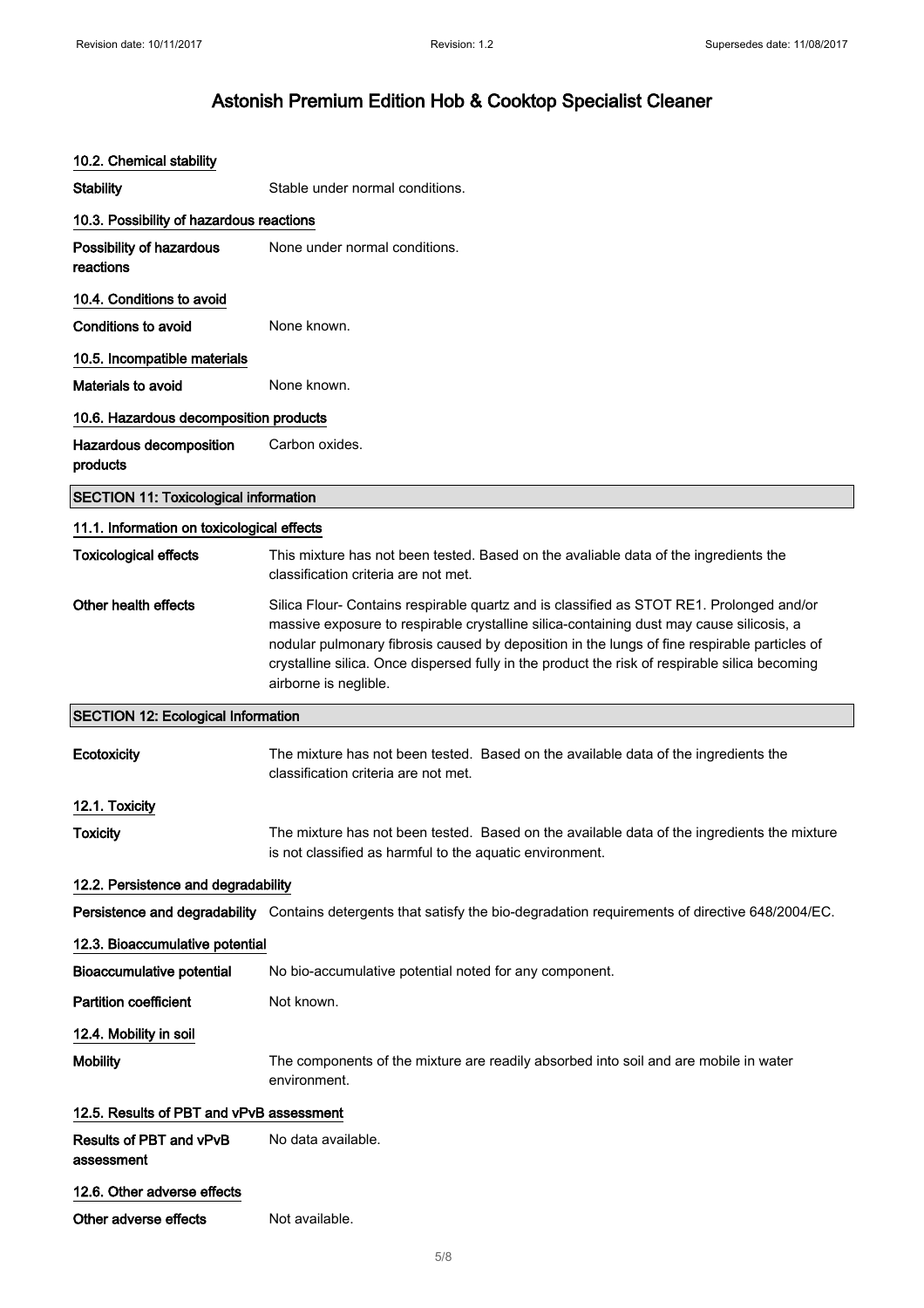| 10.2. Chemical stability                     |                                                                                                                                                                                                                                                                                                                                                                                                                 |
|----------------------------------------------|-----------------------------------------------------------------------------------------------------------------------------------------------------------------------------------------------------------------------------------------------------------------------------------------------------------------------------------------------------------------------------------------------------------------|
| <b>Stability</b>                             | Stable under normal conditions.                                                                                                                                                                                                                                                                                                                                                                                 |
| 10.3. Possibility of hazardous reactions     |                                                                                                                                                                                                                                                                                                                                                                                                                 |
| Possibility of hazardous<br>reactions        | None under normal conditions.                                                                                                                                                                                                                                                                                                                                                                                   |
| 10.4. Conditions to avoid                    |                                                                                                                                                                                                                                                                                                                                                                                                                 |
| Conditions to avoid                          | None known.                                                                                                                                                                                                                                                                                                                                                                                                     |
| 10.5. Incompatible materials                 |                                                                                                                                                                                                                                                                                                                                                                                                                 |
| <b>Materials to avoid</b>                    | None known.                                                                                                                                                                                                                                                                                                                                                                                                     |
| 10.6. Hazardous decomposition products       |                                                                                                                                                                                                                                                                                                                                                                                                                 |
| Hazardous decomposition<br>products          | Carbon oxides.                                                                                                                                                                                                                                                                                                                                                                                                  |
| <b>SECTION 11: Toxicological information</b> |                                                                                                                                                                                                                                                                                                                                                                                                                 |
| 11.1. Information on toxicological effects   |                                                                                                                                                                                                                                                                                                                                                                                                                 |
| <b>Toxicological effects</b>                 | This mixture has not been tested. Based on the avaliable data of the ingredients the<br>classification criteria are not met.                                                                                                                                                                                                                                                                                    |
| Other health effects                         | Silica Flour- Contains respirable quartz and is classified as STOT RE1. Prolonged and/or<br>massive exposure to respirable crystalline silica-containing dust may cause silicosis, a<br>nodular pulmonary fibrosis caused by deposition in the lungs of fine respirable particles of<br>crystalline silica. Once dispersed fully in the product the risk of respirable silica becoming<br>airborne is neglible. |
| <b>SECTION 12: Ecological Information</b>    |                                                                                                                                                                                                                                                                                                                                                                                                                 |
| Ecotoxicity                                  | The mixture has not been tested. Based on the available data of the ingredients the<br>classification criteria are not met.                                                                                                                                                                                                                                                                                     |
| 12.1. Toxicity                               |                                                                                                                                                                                                                                                                                                                                                                                                                 |
| Toxicity                                     | The mixture has not been tested. Based on the available data of the ingredients the mixture<br>is not classified as harmful to the aquatic environment.                                                                                                                                                                                                                                                         |
| 12.2. Persistence and degradability          |                                                                                                                                                                                                                                                                                                                                                                                                                 |
|                                              | Persistence and degradability Contains detergents that satisfy the bio-degradation requirements of directive 648/2004/EC.                                                                                                                                                                                                                                                                                       |
| 12.3. Bioaccumulative potential              |                                                                                                                                                                                                                                                                                                                                                                                                                 |
| <b>Bioaccumulative potential</b>             | No bio-accumulative potential noted for any component.                                                                                                                                                                                                                                                                                                                                                          |
| <b>Partition coefficient</b>                 | Not known.                                                                                                                                                                                                                                                                                                                                                                                                      |
| 12.4. Mobility in soil                       |                                                                                                                                                                                                                                                                                                                                                                                                                 |
| <b>Mobility</b>                              | The components of the mixture are readily absorbed into soil and are mobile in water<br>environment.                                                                                                                                                                                                                                                                                                            |
| 12.5. Results of PBT and vPvB assessment     |                                                                                                                                                                                                                                                                                                                                                                                                                 |
| Results of PBT and vPvB<br>assessment        | No data available.                                                                                                                                                                                                                                                                                                                                                                                              |
| 12.6. Other adverse effects                  |                                                                                                                                                                                                                                                                                                                                                                                                                 |
| Other adverse effects                        | Not available.                                                                                                                                                                                                                                                                                                                                                                                                  |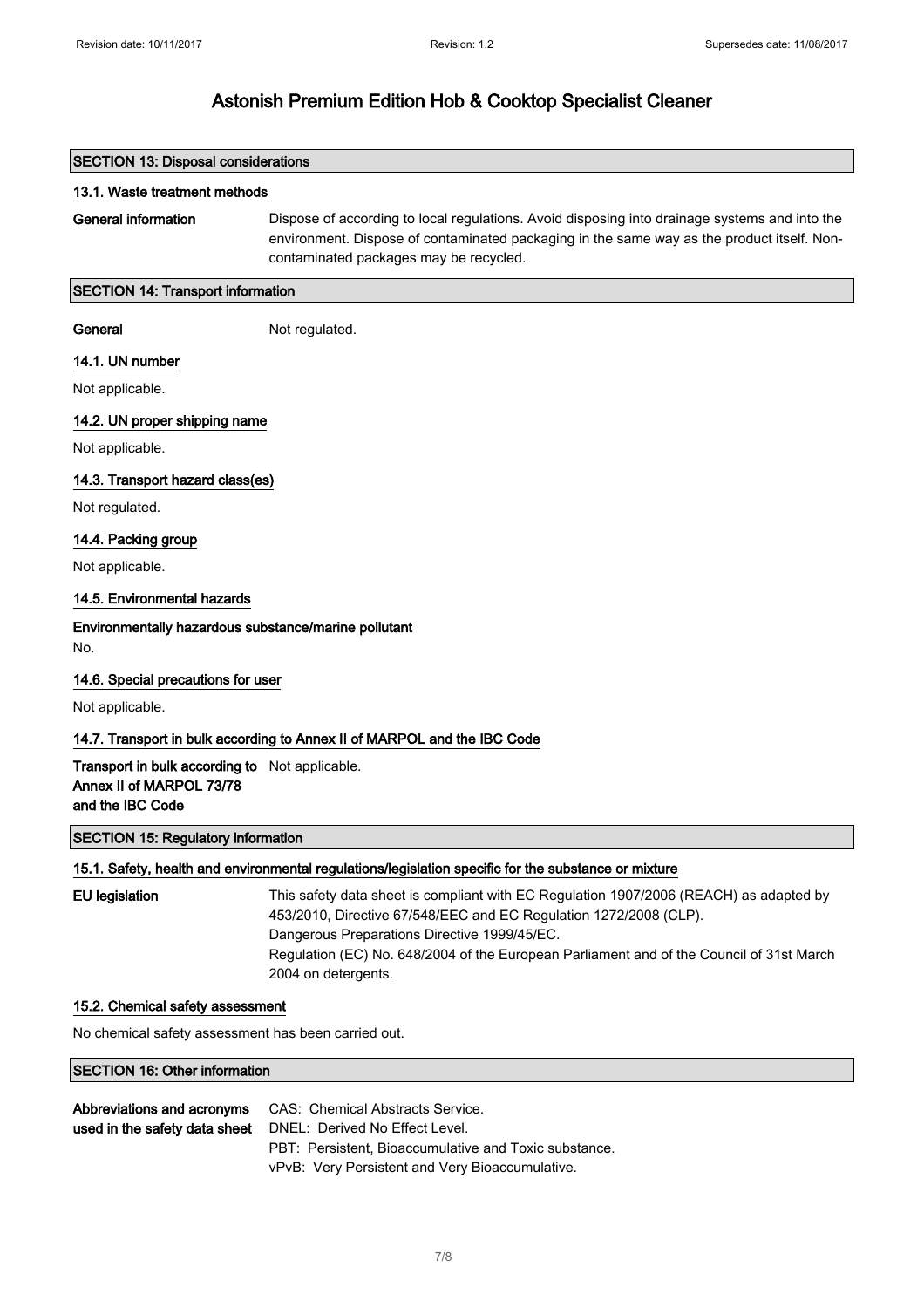| <b>SECTION 13: Disposal considerations</b>                                                     |                                                                                                                                                                                                                                                                                                                                |  |
|------------------------------------------------------------------------------------------------|--------------------------------------------------------------------------------------------------------------------------------------------------------------------------------------------------------------------------------------------------------------------------------------------------------------------------------|--|
| 13.1. Waste treatment methods                                                                  |                                                                                                                                                                                                                                                                                                                                |  |
| <b>General information</b>                                                                     | Dispose of according to local regulations. Avoid disposing into drainage systems and into the<br>environment. Dispose of contaminated packaging in the same way as the product itself. Non-<br>contaminated packages may be recycled.                                                                                          |  |
| <b>SECTION 14: Transport information</b>                                                       |                                                                                                                                                                                                                                                                                                                                |  |
| General                                                                                        | Not regulated.                                                                                                                                                                                                                                                                                                                 |  |
| 14.1. UN number                                                                                |                                                                                                                                                                                                                                                                                                                                |  |
| Not applicable.                                                                                |                                                                                                                                                                                                                                                                                                                                |  |
| 14.2. UN proper shipping name                                                                  |                                                                                                                                                                                                                                                                                                                                |  |
| Not applicable.                                                                                |                                                                                                                                                                                                                                                                                                                                |  |
| 14.3. Transport hazard class(es)                                                               |                                                                                                                                                                                                                                                                                                                                |  |
| Not regulated.                                                                                 |                                                                                                                                                                                                                                                                                                                                |  |
| 14.4. Packing group                                                                            |                                                                                                                                                                                                                                                                                                                                |  |
| Not applicable.                                                                                |                                                                                                                                                                                                                                                                                                                                |  |
| 14.5. Environmental hazards                                                                    |                                                                                                                                                                                                                                                                                                                                |  |
| Environmentally hazardous substance/marine pollutant<br>No.                                    |                                                                                                                                                                                                                                                                                                                                |  |
| 14.6. Special precautions for user                                                             |                                                                                                                                                                                                                                                                                                                                |  |
| Not applicable.                                                                                |                                                                                                                                                                                                                                                                                                                                |  |
|                                                                                                | 14.7. Transport in bulk according to Annex II of MARPOL and the IBC Code                                                                                                                                                                                                                                                       |  |
| Transport in bulk according to Not applicable.<br>Annex II of MARPOL 73/78<br>and the IBC Code |                                                                                                                                                                                                                                                                                                                                |  |
| <b>SECTION 15: Regulatory information</b>                                                      |                                                                                                                                                                                                                                                                                                                                |  |
|                                                                                                | 15.1. Safety, health and environmental regulations/legislation specific for the substance or mixture                                                                                                                                                                                                                           |  |
| <b>EU</b> legislation                                                                          | This safety data sheet is compliant with EC Regulation 1907/2006 (REACH) as adapted by<br>453/2010, Directive 67/548/EEC and EC Regulation 1272/2008 (CLP).<br>Dangerous Preparations Directive 1999/45/EC.<br>Regulation (EC) No. 648/2004 of the European Parliament and of the Council of 31st March<br>2004 on detergents. |  |
| 15.2. Chemical safety assessment                                                               |                                                                                                                                                                                                                                                                                                                                |  |

No chemical safety assessment has been carried out.

#### SECTION 16: Other information

| Abbreviations and acronyms | CAS: Chemical Abstracts Service.                             |
|----------------------------|--------------------------------------------------------------|
|                            | used in the safety data sheet DNEL: Derived No Effect Level. |
|                            | PBT: Persistent. Bioaccumulative and Toxic substance.        |
|                            | vPvB: Very Persistent and Very Bioaccumulative.              |